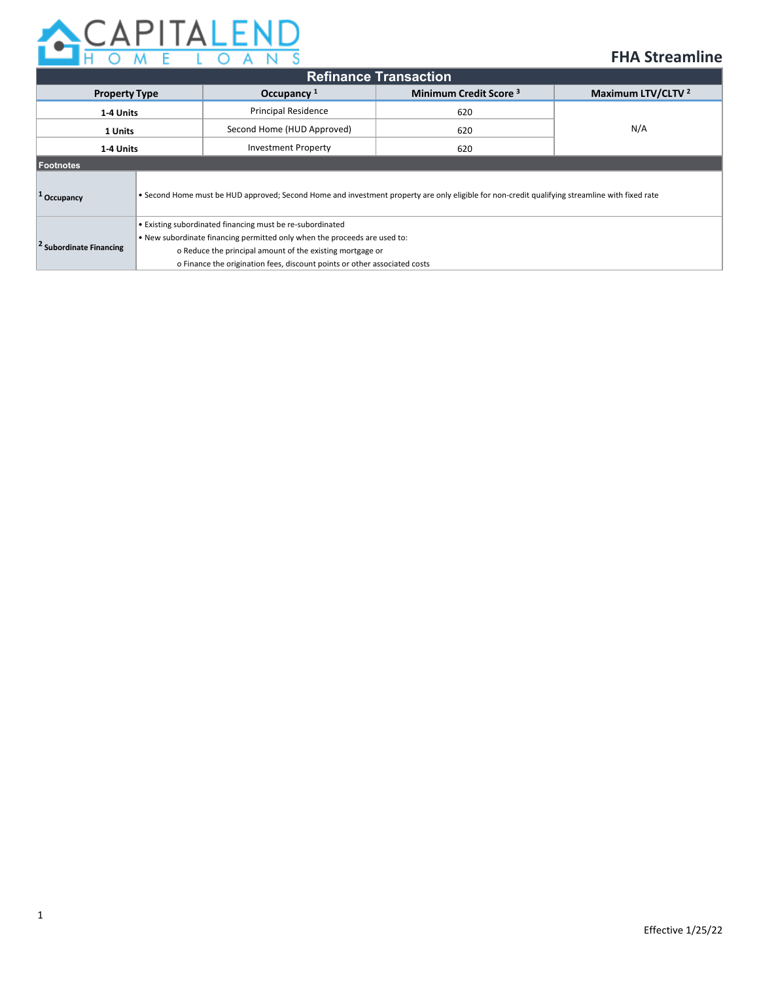

# **FHA Streamline**

| <b>Refinance Transaction</b>       |                                                                                                                                                                                                                                                                                  |                                                    |     |                               |  |  |  |
|------------------------------------|----------------------------------------------------------------------------------------------------------------------------------------------------------------------------------------------------------------------------------------------------------------------------------|----------------------------------------------------|-----|-------------------------------|--|--|--|
| <b>Property Type</b>               |                                                                                                                                                                                                                                                                                  | Minimum Credit Score <sup>3</sup><br>Occupancy $1$ |     | Maximum LTV/CLTV <sup>2</sup> |  |  |  |
| 1-4 Units                          |                                                                                                                                                                                                                                                                                  | <b>Principal Residence</b><br>620                  |     | N/A                           |  |  |  |
| 1 Units                            |                                                                                                                                                                                                                                                                                  | Second Home (HUD Approved)<br>620                  |     |                               |  |  |  |
| 14 Units                           |                                                                                                                                                                                                                                                                                  | <b>Investment Property</b>                         | 620 |                               |  |  |  |
| Footnotes                          |                                                                                                                                                                                                                                                                                  |                                                    |     |                               |  |  |  |
| <sup>+</sup> Occupancy             | . Second Home must be HUD approved; Second Home and investment property are only eligible for non-credit qualifying streamline with fixed rate                                                                                                                                   |                                                    |     |                               |  |  |  |
| <sup>2</sup> Subordinate Financing | • Existing subordinated financing must be re-subordinated<br>. New subordinate financing permitted only when the proceeds are used to:<br>o Reduce the principal amount of the existing mortgage or<br>o Finance the origination fees, discount points or other associated costs |                                                    |     |                               |  |  |  |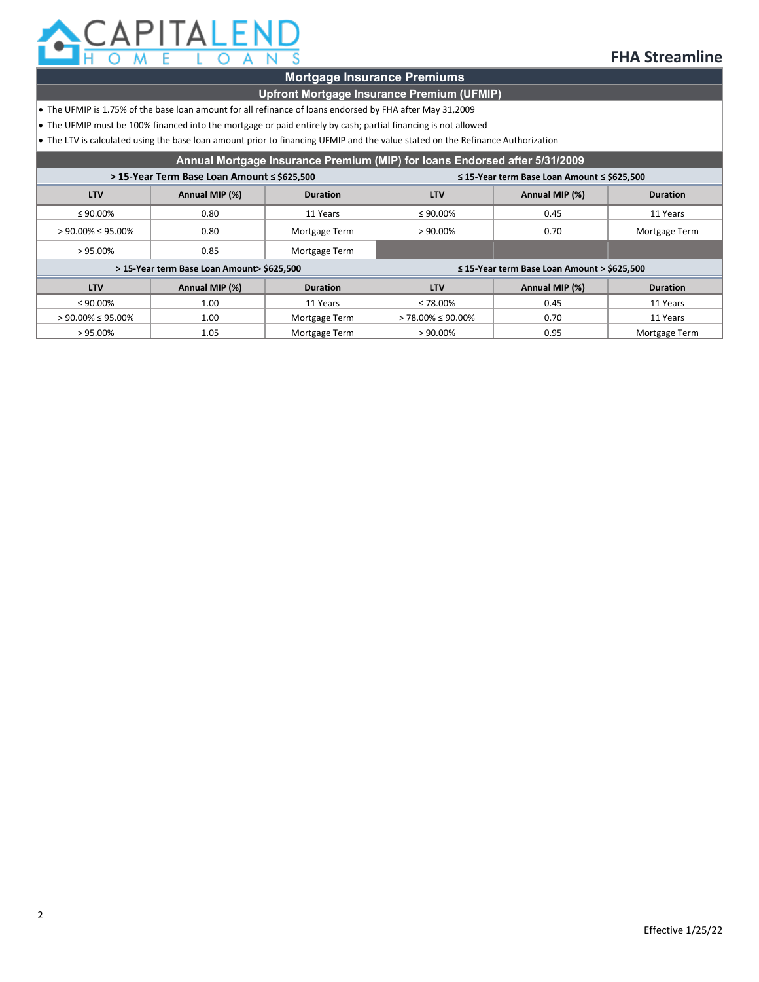

## **FHA Streamline**

### **Mortgage Insurance Premiums**

### **Upfront Mortgage Insurance Premium (UFMIP)**

- The UFMIP is 1.75% of the base loan amount for all refinance of loans endorsed by FHA after May 31,2009
- The UFMIP must be 100% financed into the mortgage or paid entirely by cash; partial financing is not allowed

• The LTV is calculated using the base loan amount prior to financing UFMIP and the value stated on the Refinance Authorization

| Annual Mortgage Insurance Premium (MIP) for loans Endorsed after 5/31/2009 |                                             |                 |                                                       |                |                 |  |
|----------------------------------------------------------------------------|---------------------------------------------|-----------------|-------------------------------------------------------|----------------|-----------------|--|
|                                                                            | > 15-Year Term Base Loan Amount ≤ \$625,500 |                 | $\leq$ 15-Year term Base Loan Amount $\leq$ \$625.500 |                |                 |  |
| <b>LTV</b>                                                                 | Annual MIP (%)                              | <b>Duration</b> | <b>LTV</b>                                            | Annual MIP (%) | <b>Duration</b> |  |
| $\leq 90.00\%$                                                             | 0.80                                        | 11 Years        | $\leq 90.00\%$                                        |                | 11 Years        |  |
| $> 90.00\% \le 95.00\%$                                                    | 0.80                                        | Mortgage Term   | $>90.00\%$                                            | 0.70           | Mortgage Term   |  |
| $>95.00\%$                                                                 | 0.85                                        | Mortgage Term   |                                                       |                |                 |  |
|                                                                            | > 15-Year term Base Loan Amount> \$625,500  |                 | $\leq$ 15-Year term Base Loan Amount > \$625,500      |                |                 |  |
| <b>LTV</b>                                                                 | Annual MIP (%)                              | <b>Duration</b> | <b>LTV</b>                                            | Annual MIP (%) | <b>Duration</b> |  |
| $\leq 90.00\%$                                                             | 1.00                                        | 11 Years        | $\leq 78.00\%$                                        | 0.45           | 11 Years        |  |
| $> 90.00\% \le 95.00\%$                                                    | 1.00                                        | Mortgage Term   | $> 78.00\% \le 90.00\%$                               | 0.70           | 11 Years        |  |
| $>95.00\%$                                                                 | 1.05                                        | Mortgage Term   | $>90.00\%$                                            | 0.95           | Mortgage Term   |  |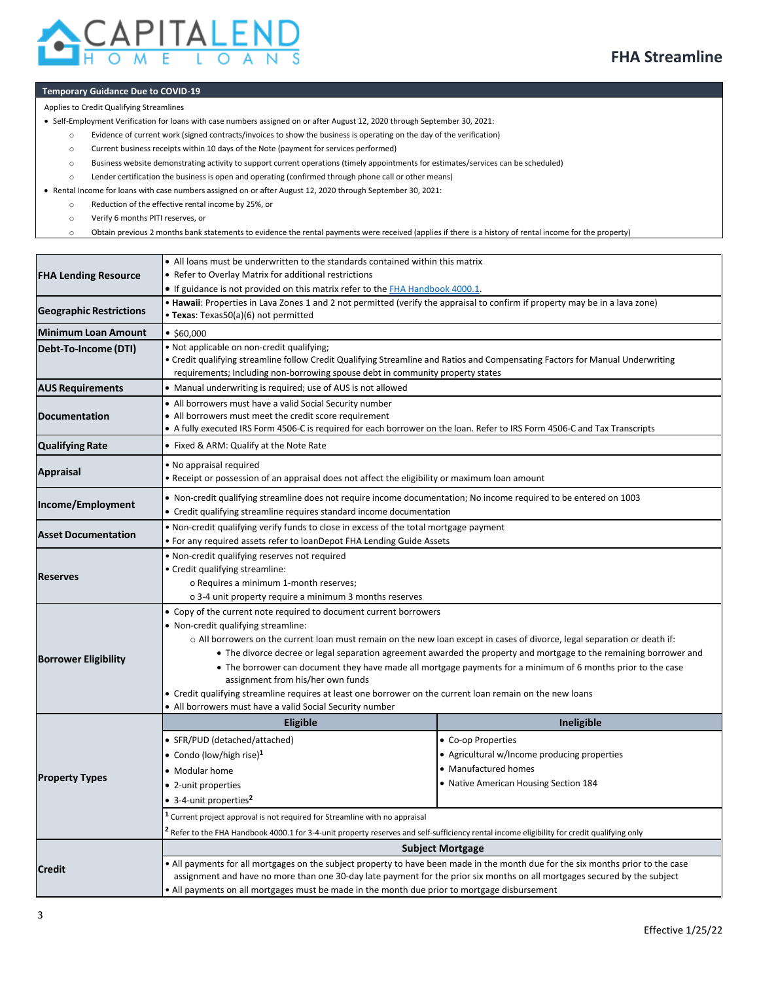

#### **Temporary Guidance Due to COVID-19**

Applies to Credit Qualifying Streamlines

• Self-Employment Verification for loans with case numbers assigned on or after August 12, 2020 through September 30, 2021:

- o Evidence of current work (signed contracts/invoices to show the business is operating on the day of the verification)
- o Current business receipts within 10 days of the Note (payment for services performed)
- o Business website demonstrating activity to support current operations (timely appointments for estimates/services can be scheduled)
- o Lender certification the business is open and operating (confirmed through phone call or other means)

• Rental Income for loans with case numbers assigned on or after August 12, 2020 through September 30, 2021:

- o Reduction of the effective rental income by 25%, or
- o Verify 6 months PITI reserves, or

o Obtain previous 2 months bank statements to evidence the rental payments were received (applies if there is a history of rental income for the property)

|                                | • All loans must be underwritten to the standards contained within this matrix                                                                                                                                                                                                                                                                                                                                                                                                                                                                                                                                                                                                                  |                                                                                                                                     |  |  |  |  |  |
|--------------------------------|-------------------------------------------------------------------------------------------------------------------------------------------------------------------------------------------------------------------------------------------------------------------------------------------------------------------------------------------------------------------------------------------------------------------------------------------------------------------------------------------------------------------------------------------------------------------------------------------------------------------------------------------------------------------------------------------------|-------------------------------------------------------------------------------------------------------------------------------------|--|--|--|--|--|
| <b>FHA Lending Resource</b>    | • Refer to Overlay Matrix for additional restrictions                                                                                                                                                                                                                                                                                                                                                                                                                                                                                                                                                                                                                                           |                                                                                                                                     |  |  |  |  |  |
|                                | • If guidance is not provided on this matrix refer to the FHA Handbook 4000.1.<br>. Hawaii: Properties in Lava Zones 1 and 2 not permitted (verify the appraisal to confirm if property may be in a lava zone)                                                                                                                                                                                                                                                                                                                                                                                                                                                                                  |                                                                                                                                     |  |  |  |  |  |
| <b>Geographic Restrictions</b> | • Texas: Texas50(a)(6) not permitted                                                                                                                                                                                                                                                                                                                                                                                                                                                                                                                                                                                                                                                            |                                                                                                                                     |  |  |  |  |  |
| <b>Minimum Loan Amount</b>     | • \$60,000                                                                                                                                                                                                                                                                                                                                                                                                                                                                                                                                                                                                                                                                                      |                                                                                                                                     |  |  |  |  |  |
| Debt-To-Income (DTI)           | . Not applicable on non-credit qualifying;<br>• Credit qualifying streamline follow Credit Qualifying Streamline and Ratios and Compensating Factors for Manual Underwriting                                                                                                                                                                                                                                                                                                                                                                                                                                                                                                                    |                                                                                                                                     |  |  |  |  |  |
|                                | requirements; Including non-borrowing spouse debt in community property states                                                                                                                                                                                                                                                                                                                                                                                                                                                                                                                                                                                                                  |                                                                                                                                     |  |  |  |  |  |
| <b>AUS Requirements</b>        | • Manual underwriting is required; use of AUS is not allowed                                                                                                                                                                                                                                                                                                                                                                                                                                                                                                                                                                                                                                    |                                                                                                                                     |  |  |  |  |  |
| <b>Documentation</b>           | • All borrowers must have a valid Social Security number<br>• All borrowers must meet the credit score requirement<br>A fully executed IRS Form 4506-C is required for each borrower on the loan. Refer to IRS Form 4506-C and Tax Transcripts                                                                                                                                                                                                                                                                                                                                                                                                                                                  |                                                                                                                                     |  |  |  |  |  |
| <b>Qualifying Rate</b>         | • Fixed & ARM: Qualify at the Note Rate                                                                                                                                                                                                                                                                                                                                                                                                                                                                                                                                                                                                                                                         |                                                                                                                                     |  |  |  |  |  |
| <b>Appraisal</b>               | • No appraisal required<br>. Receipt or possession of an appraisal does not affect the eligibility or maximum loan amount                                                                                                                                                                                                                                                                                                                                                                                                                                                                                                                                                                       |                                                                                                                                     |  |  |  |  |  |
| Income/Employment              | • Non-credit qualifying streamline does not require income documentation; No income required to be entered on 1003<br>• Credit qualifying streamline requires standard income documentation                                                                                                                                                                                                                                                                                                                                                                                                                                                                                                     |                                                                                                                                     |  |  |  |  |  |
| <b>Asset Documentation</b>     | • Non-credit qualifying verify funds to close in excess of the total mortgage payment<br>• For any required assets refer to loanDepot FHA Lending Guide Assets                                                                                                                                                                                                                                                                                                                                                                                                                                                                                                                                  |                                                                                                                                     |  |  |  |  |  |
| <b>Reserves</b>                | . Non-credit qualifying reserves not required<br>• Credit qualifying streamline:<br>o Requires a minimum 1-month reserves;<br>o 3-4 unit property require a minimum 3 months reserves                                                                                                                                                                                                                                                                                                                                                                                                                                                                                                           |                                                                                                                                     |  |  |  |  |  |
| <b>Borrower Eligibility</b>    | • Copy of the current note required to document current borrowers<br>• Non-credit qualifying streamline:<br>$\circ$ All borrowers on the current loan must remain on the new loan except in cases of divorce, legal separation or death if:<br>• The divorce decree or legal separation agreement awarded the property and mortgage to the remaining borrower and<br>• The borrower can document they have made all mortgage payments for a minimum of 6 months prior to the case<br>assignment from his/her own funds<br>• Credit qualifying streamline requires at least one borrower on the current loan remain on the new loans<br>• All borrowers must have a valid Social Security number |                                                                                                                                     |  |  |  |  |  |
|                                | <b>Eligible</b>                                                                                                                                                                                                                                                                                                                                                                                                                                                                                                                                                                                                                                                                                 | Ineligible                                                                                                                          |  |  |  |  |  |
| <b>Property Types</b>          | · SFR/PUD (detached/attached)<br>• Condo (low/high rise) <sup>1</sup><br>• Modular home<br>• 2-unit properties<br>• 3-4-unit properties <sup>2</sup>                                                                                                                                                                                                                                                                                                                                                                                                                                                                                                                                            | • Co-op Properties<br>• Agricultural w/Income producing properties<br>• Manufactured homes<br>• Native American Housing Section 184 |  |  |  |  |  |
|                                | $1$ Current project approval is not required for Streamline with no appraisal<br>$^{\mathsf{2}}$ Refer to the FHA Handbook 4000.1 for 3-4-unit property reserves and self-sufficiency rental income eligibility for credit qualifying only                                                                                                                                                                                                                                                                                                                                                                                                                                                      |                                                                                                                                     |  |  |  |  |  |
|                                | <b>Subject Mortgage</b>                                                                                                                                                                                                                                                                                                                                                                                                                                                                                                                                                                                                                                                                         |                                                                                                                                     |  |  |  |  |  |
| <b>Credit</b>                  | • All payments for all mortgages on the subject property to have been made in the month due for the six months prior to the case<br>assignment and have no more than one 30-day late payment for the prior six months on all mortgages secured by the subject<br>• All payments on all mortgages must be made in the month due prior to mortgage disbursement                                                                                                                                                                                                                                                                                                                                   |                                                                                                                                     |  |  |  |  |  |
|                                |                                                                                                                                                                                                                                                                                                                                                                                                                                                                                                                                                                                                                                                                                                 |                                                                                                                                     |  |  |  |  |  |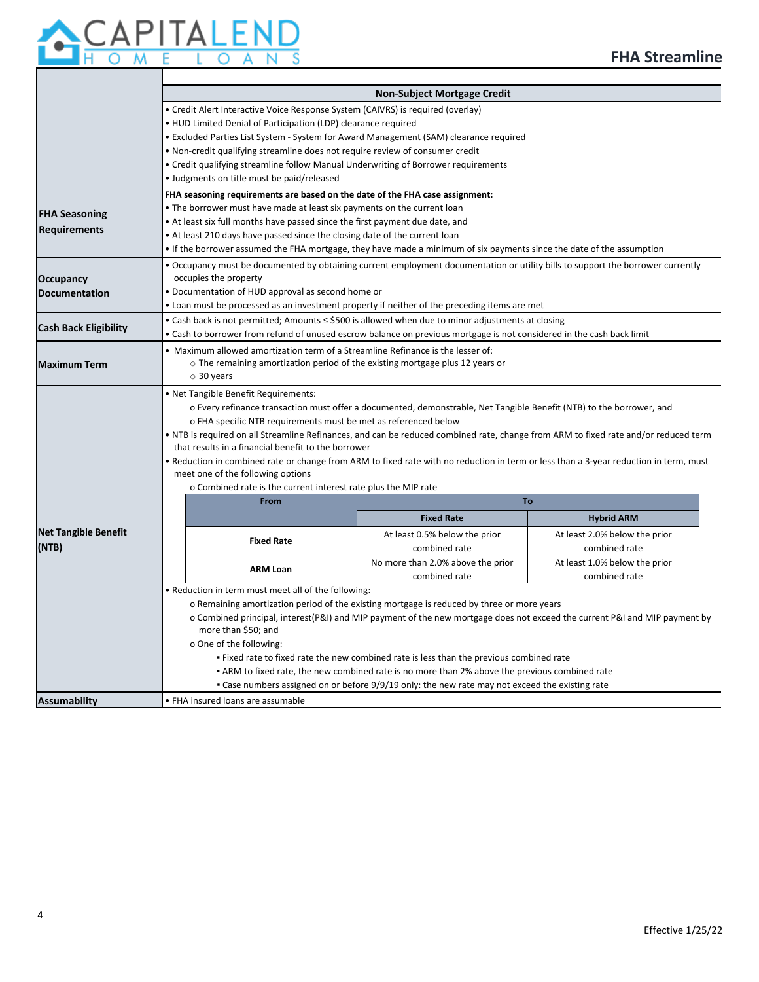

|                              | <b>Non-Subject Mortgage Credit</b>                                                                                                                                                                                |                                                                |                                                                                                                                 |                               |  |  |  |
|------------------------------|-------------------------------------------------------------------------------------------------------------------------------------------------------------------------------------------------------------------|----------------------------------------------------------------|---------------------------------------------------------------------------------------------------------------------------------|-------------------------------|--|--|--|
|                              | • Credit Alert Interactive Voice Response System (CAIVRS) is required (overlay)                                                                                                                                   |                                                                |                                                                                                                                 |                               |  |  |  |
|                              | • HUD Limited Denial of Participation (LDP) clearance required                                                                                                                                                    |                                                                |                                                                                                                                 |                               |  |  |  |
|                              | • Excluded Parties List System - System for Award Management (SAM) clearance required                                                                                                                             |                                                                |                                                                                                                                 |                               |  |  |  |
|                              | . Non-credit qualifying streamline does not require review of consumer credit<br>• Credit qualifying streamline follow Manual Underwriting of Borrower requirements<br>• Judgments on title must be paid/released |                                                                |                                                                                                                                 |                               |  |  |  |
|                              |                                                                                                                                                                                                                   |                                                                |                                                                                                                                 |                               |  |  |  |
|                              |                                                                                                                                                                                                                   |                                                                |                                                                                                                                 |                               |  |  |  |
|                              |                                                                                                                                                                                                                   |                                                                | FHA seasoning requirements are based on the date of the FHA case assignment:                                                    |                               |  |  |  |
|                              |                                                                                                                                                                                                                   |                                                                | • The borrower must have made at least six payments on the current loan                                                         |                               |  |  |  |
| <b>FHA Seasoning</b>         |                                                                                                                                                                                                                   |                                                                | • At least six full months have passed since the first payment due date, and                                                    |                               |  |  |  |
| <b>Requirements</b>          |                                                                                                                                                                                                                   |                                                                | • At least 210 days have passed since the closing date of the current loan                                                      |                               |  |  |  |
|                              |                                                                                                                                                                                                                   |                                                                | • If the borrower assumed the FHA mortgage, they have made a minimum of six payments since the date of the assumption           |                               |  |  |  |
|                              |                                                                                                                                                                                                                   |                                                                | . Occupancy must be documented by obtaining current employment documentation or utility bills to support the borrower currently |                               |  |  |  |
| <b>Occupancy</b>             | occupies the property                                                                                                                                                                                             |                                                                |                                                                                                                                 |                               |  |  |  |
| <b>Documentation</b>         |                                                                                                                                                                                                                   | • Documentation of HUD approval as second home or              |                                                                                                                                 |                               |  |  |  |
|                              | • Loan must be processed as an investment property if neither of the preceding items are met                                                                                                                      |                                                                |                                                                                                                                 |                               |  |  |  |
|                              | • Cash back is not permitted; Amounts $\le$ \$500 is allowed when due to minor adjustments at closing                                                                                                             |                                                                |                                                                                                                                 |                               |  |  |  |
| <b>Cash Back Eligibility</b> | • Cash to borrower from refund of unused escrow balance on previous mortgage is not considered in the cash back limit                                                                                             |                                                                |                                                                                                                                 |                               |  |  |  |
|                              | . Maximum allowed amortization term of a Streamline Refinance is the lesser of:                                                                                                                                   |                                                                |                                                                                                                                 |                               |  |  |  |
| <b>Maximum Term</b>          | $\circ$ The remaining amortization period of the existing mortgage plus 12 years or                                                                                                                               |                                                                |                                                                                                                                 |                               |  |  |  |
|                              | $\circ$ 30 years                                                                                                                                                                                                  |                                                                |                                                                                                                                 |                               |  |  |  |
|                              | . Net Tangible Benefit Requirements:                                                                                                                                                                              |                                                                |                                                                                                                                 |                               |  |  |  |
|                              |                                                                                                                                                                                                                   |                                                                | o Every refinance transaction must offer a documented, demonstrable, Net Tangible Benefit (NTB) to the borrower, and            |                               |  |  |  |
|                              | o FHA specific NTB requirements must be met as referenced below                                                                                                                                                   |                                                                |                                                                                                                                 |                               |  |  |  |
|                              | • NTB is required on all Streamline Refinances, and can be reduced combined rate, change from ARM to fixed rate and/or reduced term                                                                               |                                                                |                                                                                                                                 |                               |  |  |  |
|                              | that results in a financial benefit to the borrower                                                                                                                                                               |                                                                |                                                                                                                                 |                               |  |  |  |
|                              | • Reduction in combined rate or change from ARM to fixed rate with no reduction in term or less than a 3-year reduction in term, must                                                                             |                                                                |                                                                                                                                 |                               |  |  |  |
|                              | meet one of the following options                                                                                                                                                                                 |                                                                |                                                                                                                                 |                               |  |  |  |
|                              |                                                                                                                                                                                                                   | o Combined rate is the current interest rate plus the MIP rate |                                                                                                                                 |                               |  |  |  |
|                              |                                                                                                                                                                                                                   | From                                                           | To                                                                                                                              |                               |  |  |  |
|                              |                                                                                                                                                                                                                   |                                                                | <b>Fixed Rate</b>                                                                                                               | <b>Hybrid ARM</b>             |  |  |  |
| <b>Net Tangible Benefit</b>  |                                                                                                                                                                                                                   | <b>Fixed Rate</b>                                              | At least 0.5% below the prior                                                                                                   | At least 2.0% below the prior |  |  |  |
| (NTB)                        |                                                                                                                                                                                                                   |                                                                | combined rate                                                                                                                   | combined rate                 |  |  |  |
|                              |                                                                                                                                                                                                                   |                                                                | No more than 2.0% above the prior                                                                                               | At least 1.0% below the prior |  |  |  |
|                              | <b>ARM Loan</b>                                                                                                                                                                                                   |                                                                | combined rate                                                                                                                   | combined rate                 |  |  |  |
|                              | . Reduction in term must meet all of the following:                                                                                                                                                               |                                                                |                                                                                                                                 |                               |  |  |  |
|                              | o Remaining amortization period of the existing mortgage is reduced by three or more years                                                                                                                        |                                                                |                                                                                                                                 |                               |  |  |  |
|                              | o Combined principal, interest (P&I) and MIP payment of the new mortgage does not exceed the current P&I and MIP payment by                                                                                       |                                                                |                                                                                                                                 |                               |  |  |  |
|                              | more than \$50; and                                                                                                                                                                                               |                                                                |                                                                                                                                 |                               |  |  |  |
|                              | o One of the following:                                                                                                                                                                                           |                                                                |                                                                                                                                 |                               |  |  |  |
|                              | . Fixed rate to fixed rate the new combined rate is less than the previous combined rate                                                                                                                          |                                                                |                                                                                                                                 |                               |  |  |  |
|                              | • ARM to fixed rate, the new combined rate is no more than 2% above the previous combined rate                                                                                                                    |                                                                |                                                                                                                                 |                               |  |  |  |
|                              | • Case numbers assigned on or before 9/9/19 only: the new rate may not exceed the existing rate                                                                                                                   |                                                                |                                                                                                                                 |                               |  |  |  |
| <b>Assumability</b>          | • FHA insured loans are assumable                                                                                                                                                                                 |                                                                |                                                                                                                                 |                               |  |  |  |